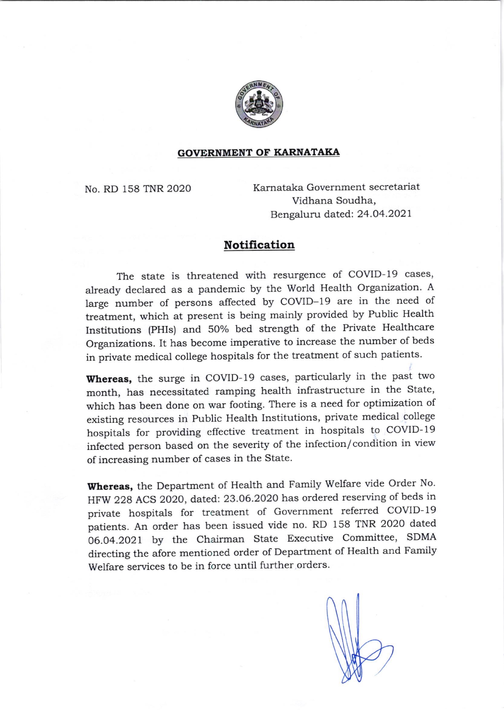

## GOVERNMENT OF KARNATAKA

No. RD 158 TNR 2020 Karnataka Government secretariat Vidhana Soudha, Bengaluru dated: 24.04.2021

## Notification

The state is threatened with resurgence of COVID-19 cases, already declared as a pandemic by the World Health Organization. A large number of persons affected by COVID-19 are in the need of treatment, which at present is being mainly provided by Public Health Institutions (PHIs) and 50% bed strength of the Private Healthcare organizations. It has become imperative to increase the number of beds in private medical college hospitals for the treatment of such patients.

Whereas, the surge in COVID-19 cases, particularly in the past two month, has necessitated ramping health infrastructure in the State, which has been done on war footing. There is a need for optimization of existing resources in Public Health Institutions, private medical college hospitals for providing effective treatment in hospitals to COVID- <sup>19</sup> infected person based on the severity of the infection/ condition in view of increasing number of cases in the State.

Whereas, the Department of Health and Family Welfare vide Order No. HFW 228 ACS 2020, dated: 23.06.2020 has ordered reserving of beds in private hospitals for treatment of Government referred COVID- <sup>19</sup> patients. An order has been issued vide no. RD 158 TNR 2020 dated 06.04.2021 by the Chairman State Executive Committee, SDMA directing the afore mentioned order of Department of Health and Family Welfare services to be in force until further orders.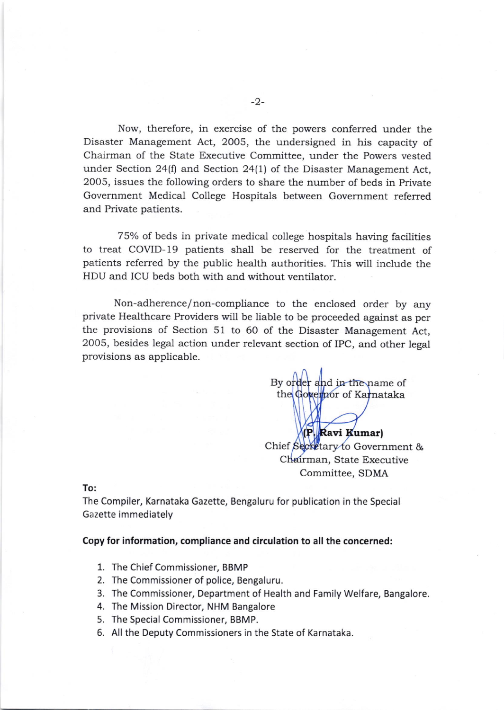Now, therefore, in exercise of the powers conferred under the Disaster Management Act, 2005, the undersigned in his capacity of Chairman of the State Executive Committee, under the Powers vested under Section 24(f) and, Section 24(l) of the Disaster Management Act, 2005, issues the following orders to share the number of beds in Private Govemment Medical College Hospitals between Government referred and Private patients.

75% of beds in private medical college hospitals having facilities to treat COVID- 19 patients shall be reserved for the treatment of patients referred by the public health authorities. This will include the HDU and ICU beds both with and without ventilator.

Non-adherence/non-compliance to the enclosed order by any private Healthcare Providers will be liable to be proceeded against as per the provisions of Section 51 to 60 of the Disaster Management Act, 2005, besides legal action under relevant section of IPC, and other legal provisions as applicable.

By order and in the name of the Governor of Karnataka

umar IChief Secretary to Government & Chairman, State Executive Committee, SDMA

To:

The Compiler, Karnataka Gazette, Bengaluru for publication in the Special Gazette immediately

Copy for information, compliance and circulation to all the concerned:

- 1. The Chief Commissioner, BBMP
- 2. The Commissioner of police, Eengaluru.
- 3. The Commissioner, Department of Health and Family Welfare, Bangalore
- 4. The Mission Director, NHM Bangalore
- 5. The Special Commissioner, BBMP.
- 6. All the Deputy Commissioners in the State of Karnataka.